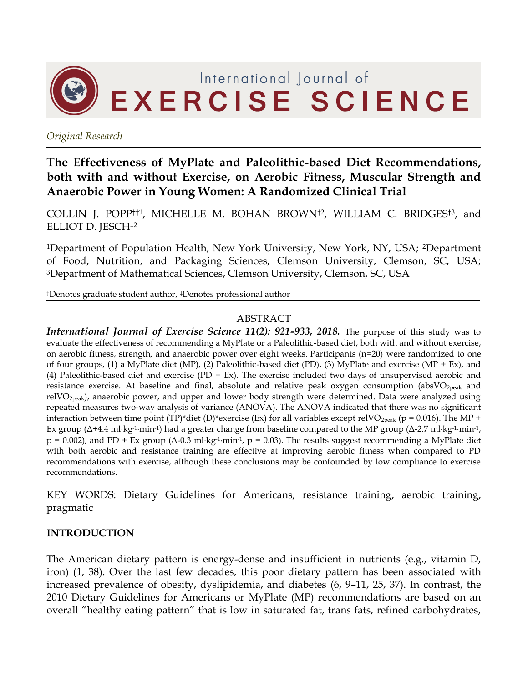

*Original Research*

# **The Effectiveness of MyPlate and Paleolithic-based Diet Recommendations, both with and without Exercise, on Aerobic Fitness, Muscular Strength and Anaerobic Power in Young Women: A Randomized Clinical Trial**

COLLIN J. POPP†‡1, MICHELLE M. BOHAN BROWN‡2, WILLIAM C. BRIDGES‡3, and ELLIOT D. JESCH‡<sup>2</sup>

<sup>1</sup>Department of Population Health, New York University, New York, NY, USA; 2Department of Food, Nutrition, and Packaging Sciences, Clemson University, Clemson, SC, USA; <sup>3</sup>Department of Mathematical Sciences, Clemson University, Clemson, SC, USA

†Denotes graduate student author, ‡Denotes professional author

#### ABSTRACT

*International Journal of Exercise Science 11(2): 921-933, 2018.* The purpose of this study was to evaluate the effectiveness of recommending a MyPlate or a Paleolithic-based diet, both with and without exercise, on aerobic fitness, strength, and anaerobic power over eight weeks. Participants (n=20) were randomized to one of four groups, (1) a MyPlate diet (MP), (2) Paleolithic-based diet (PD), (3) MyPlate and exercise (MP + Ex), and (4) Paleolithic-based diet and exercise (PD + Ex). The exercise included two days of unsupervised aerobic and resistance exercise. At baseline and final, absolute and relative peak oxygen consumption (abs $VO_{2peak}$  and relVO<sub>2peak</sub>), anaerobic power, and upper and lower body strength were determined. Data were analyzed using repeated measures two-way analysis of variance (ANOVA). The ANOVA indicated that there was no significant interaction between time point (TP)\*diet (D)\*exercise (Ex) for all variables except relVO<sub>2peak</sub> (p = 0.016). The MP + Ex group ( $\Delta$ +4.4 ml·kg<sup>-1</sup>·min<sup>-1</sup>) had a greater change from baseline compared to the MP group ( $\Delta$ -2.7 ml·kg<sup>-1</sup>·min<sup>-1</sup>,  $p = 0.002$ ), and PD + Ex group ( $\Delta$ -0.3 ml·kg<sup>-1</sup>·min<sup>-1</sup>,  $p = 0.03$ ). The results suggest recommending a MyPlate diet with both aerobic and resistance training are effective at improving aerobic fitness when compared to PD recommendations with exercise, although these conclusions may be confounded by low compliance to exercise recommendations.

KEY WORDS: Dietary Guidelines for Americans, resistance training, aerobic training, pragmatic

## **INTRODUCTION**

The American dietary pattern is energy-dense and insufficient in nutrients (e.g., vitamin D, iron) (1, 38). Over the last few decades, this poor dietary pattern has been associated with increased prevalence of obesity, dyslipidemia, and diabetes (6, 9–11, 25, 37). In contrast, the 2010 Dietary Guidelines for Americans or MyPlate (MP) recommendations are based on an overall "healthy eating pattern" that is low in saturated fat, trans fats, refined carbohydrates,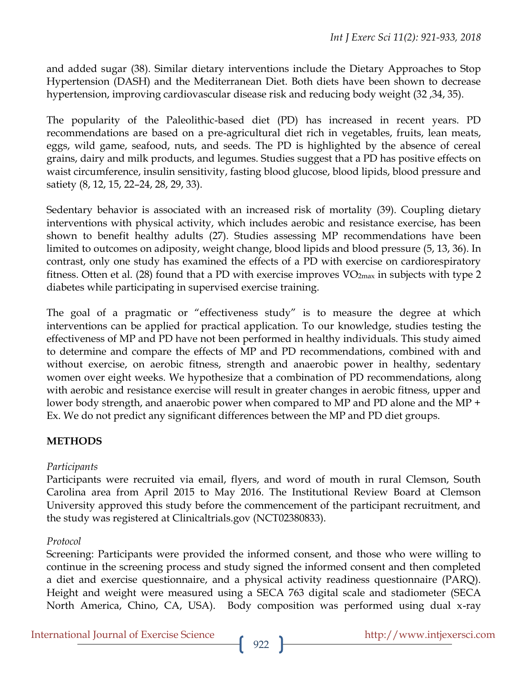and added sugar (38). Similar dietary interventions include the Dietary Approaches to Stop Hypertension (DASH) and the Mediterranean Diet. Both diets have been shown to decrease hypertension, improving cardiovascular disease risk and reducing body weight (32 ,34, 35).

The popularity of the Paleolithic-based diet (PD) has increased in recent years. PD recommendations are based on a pre-agricultural diet rich in vegetables, fruits, lean meats, eggs, wild game, seafood, nuts, and seeds. The PD is highlighted by the absence of cereal grains, dairy and milk products, and legumes. Studies suggest that a PD has positive effects on waist circumference, insulin sensitivity, fasting blood glucose, blood lipids, blood pressure and satiety (8, 12, 15, 22–24, 28, 29, 33).

Sedentary behavior is associated with an increased risk of mortality (39). Coupling dietary interventions with physical activity, which includes aerobic and resistance exercise, has been shown to benefit healthy adults (27). Studies assessing MP recommendations have been limited to outcomes on adiposity, weight change, blood lipids and blood pressure (5, 13, 36). In contrast, only one study has examined the effects of a PD with exercise on cardiorespiratory fitness. Otten et al. (28) found that a PD with exercise improves  $VO_{2max}$  in subjects with type 2 diabetes while participating in supervised exercise training.

The goal of a pragmatic or "effectiveness study" is to measure the degree at which interventions can be applied for practical application. To our knowledge, studies testing the effectiveness of MP and PD have not been performed in healthy individuals. This study aimed to determine and compare the effects of MP and PD recommendations, combined with and without exercise, on aerobic fitness, strength and anaerobic power in healthy, sedentary women over eight weeks. We hypothesize that a combination of PD recommendations, along with aerobic and resistance exercise will result in greater changes in aerobic fitness, upper and lower body strength, and anaerobic power when compared to MP and PD alone and the MP + Ex. We do not predict any significant differences between the MP and PD diet groups.

# **METHODS**

# *Participants*

Participants were recruited via email, flyers, and word of mouth in rural Clemson, South Carolina area from April 2015 to May 2016. The Institutional Review Board at Clemson University approved this study before the commencement of the participant recruitment, and the study was registered at Clinicaltrials.gov (NCT02380833).

## *Protocol*

Screening: Participants were provided the informed consent, and those who were willing to continue in the screening process and study signed the informed consent and then completed a diet and exercise questionnaire, and a physical activity readiness questionnaire (PARQ). Height and weight were measured using a SECA 763 digital scale and stadiometer (SECA North America, Chino, CA, USA). Body composition was performed using dual x-ray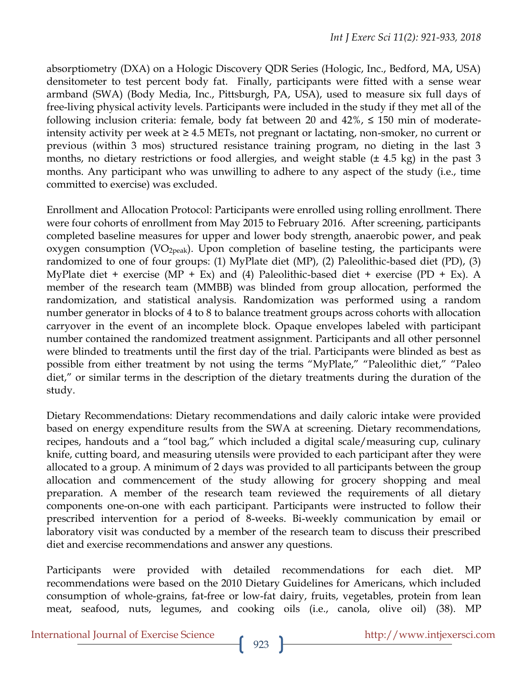absorptiometry (DXA) on a Hologic Discovery QDR Series (Hologic, Inc., Bedford, MA, USA) densitometer to test percent body fat. Finally, participants were fitted with a sense wear armband (SWA) (Body Media, Inc., Pittsburgh, PA, USA), used to measure six full days of free-living physical activity levels. Participants were included in the study if they met all of the following inclusion criteria: female, body fat between 20 and  $42\%$ ,  $\leq$  150 min of moderateintensity activity per week at  $\geq 4.5$  METs, not pregnant or lactating, non-smoker, no current or previous (within 3 mos) structured resistance training program, no dieting in the last 3 months, no dietary restrictions or food allergies, and weight stable (± 4.5 kg) in the past 3 months. Any participant who was unwilling to adhere to any aspect of the study (i.e., time committed to exercise) was excluded.

Enrollment and Allocation Protocol: Participants were enrolled using rolling enrollment. There were four cohorts of enrollment from May 2015 to February 2016. After screening, participants completed baseline measures for upper and lower body strength, anaerobic power, and peak oxygen consumption (VO<sub>2peak</sub>). Upon completion of baseline testing, the participants were randomized to one of four groups: (1) MyPlate diet (MP), (2) Paleolithic-based diet (PD), (3) MyPlate diet + exercise (MP + Ex) and (4) Paleolithic-based diet + exercise (PD + Ex). A member of the research team (MMBB) was blinded from group allocation, performed the randomization, and statistical analysis. Randomization was performed using a random number generator in blocks of 4 to 8 to balance treatment groups across cohorts with allocation carryover in the event of an incomplete block. Opaque envelopes labeled with participant number contained the randomized treatment assignment. Participants and all other personnel were blinded to treatments until the first day of the trial. Participants were blinded as best as possible from either treatment by not using the terms "MyPlate," "Paleolithic diet," "Paleo diet," or similar terms in the description of the dietary treatments during the duration of the study.

Dietary Recommendations: Dietary recommendations and daily caloric intake were provided based on energy expenditure results from the SWA at screening. Dietary recommendations, recipes, handouts and a "tool bag," which included a digital scale/measuring cup, culinary knife, cutting board, and measuring utensils were provided to each participant after they were allocated to a group. A minimum of 2 days was provided to all participants between the group allocation and commencement of the study allowing for grocery shopping and meal preparation. A member of the research team reviewed the requirements of all dietary components one-on-one with each participant. Participants were instructed to follow their prescribed intervention for a period of 8-weeks. Bi-weekly communication by email or laboratory visit was conducted by a member of the research team to discuss their prescribed diet and exercise recommendations and answer any questions.

Participants were provided with detailed recommendations for each diet. MP recommendations were based on the 2010 Dietary Guidelines for Americans, which included consumption of whole-grains, fat-free or low-fat dairy, fruits, vegetables, protein from lean meat, seafood, nuts, legumes, and cooking oils (i.e., canola, olive oil) (38). MP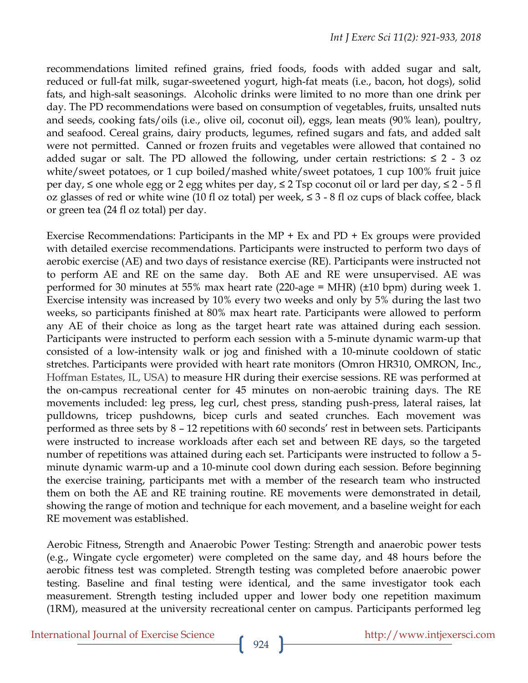recommendations limited refined grains, fried foods, foods with added sugar and salt, reduced or full-fat milk, sugar-sweetened yogurt, high-fat meats (i.e., bacon, hot dogs), solid fats, and high-salt seasonings. Alcoholic drinks were limited to no more than one drink per day. The PD recommendations were based on consumption of vegetables, fruits, unsalted nuts and seeds, cooking fats/oils (i.e., olive oil, coconut oil), eggs, lean meats (90% lean), poultry, and seafood. Cereal grains, dairy products, legumes, refined sugars and fats, and added salt were not permitted. Canned or frozen fruits and vegetables were allowed that contained no added sugar or salt. The PD allowed the following, under certain restrictions:  $\leq 2 - 3$  oz white/sweet potatoes, or 1 cup boiled/mashed white/sweet potatoes, 1 cup 100% fruit juice per day, ≤ one whole egg or 2 egg whites per day, ≤ 2 Tsp coconut oil or lard per day, ≤ 2 - 5 fl oz glasses of red or white wine (10 fl oz total) per week,  $\leq$  3 - 8 fl oz cups of black coffee, black or green tea (24 fl oz total) per day.

Exercise Recommendations: Participants in the MP + Ex and PD + Ex groups were provided with detailed exercise recommendations. Participants were instructed to perform two days of aerobic exercise (AE) and two days of resistance exercise (RE). Participants were instructed not to perform AE and RE on the same day. Both AE and RE were unsupervised. AE was performed for 30 minutes at 55% max heart rate (220-age = MHR) (±10 bpm) during week 1. Exercise intensity was increased by 10% every two weeks and only by 5% during the last two weeks, so participants finished at 80% max heart rate. Participants were allowed to perform any AE of their choice as long as the target heart rate was attained during each session. Participants were instructed to perform each session with a 5-minute dynamic warm-up that consisted of a low-intensity walk or jog and finished with a 10-minute cooldown of static stretches. Participants were provided with heart rate monitors (Omron HR310, OMRON, Inc., Hoffman Estates, IL, USA) to measure HR during their exercise sessions. RE was performed at the on-campus recreational center for 45 minutes on non-aerobic training days. The RE movements included: leg press, leg curl, chest press, standing push-press, lateral raises, lat pulldowns, tricep pushdowns, bicep curls and seated crunches. Each movement was performed as three sets by 8 – 12 repetitions with 60 seconds' rest in between sets. Participants were instructed to increase workloads after each set and between RE days, so the targeted number of repetitions was attained during each set. Participants were instructed to follow a 5 minute dynamic warm-up and a 10-minute cool down during each session. Before beginning the exercise training, participants met with a member of the research team who instructed them on both the AE and RE training routine. RE movements were demonstrated in detail, showing the range of motion and technique for each movement, and a baseline weight for each RE movement was established.

Aerobic Fitness, Strength and Anaerobic Power Testing: Strength and anaerobic power tests (e.g., Wingate cycle ergometer) were completed on the same day, and 48 hours before the aerobic fitness test was completed. Strength testing was completed before anaerobic power testing. Baseline and final testing were identical, and the same investigator took each measurement. Strength testing included upper and lower body one repetition maximum (1RM), measured at the university recreational center on campus. Participants performed leg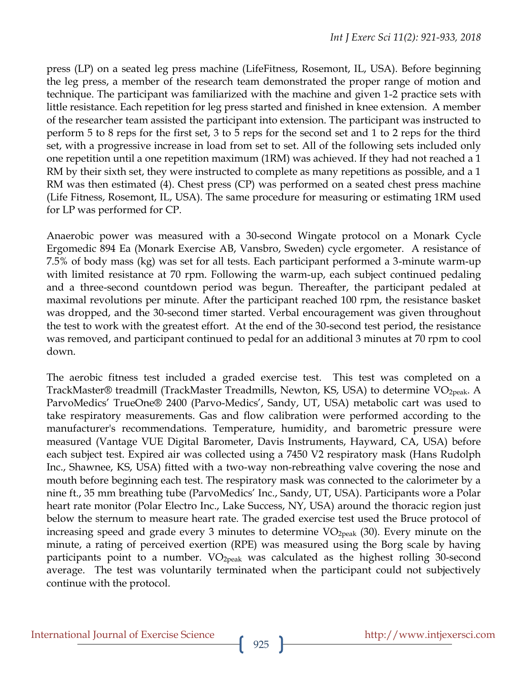press (LP) on a seated leg press machine (LifeFitness, Rosemont, IL, USA). Before beginning the leg press, a member of the research team demonstrated the proper range of motion and technique. The participant was familiarized with the machine and given 1-2 practice sets with little resistance. Each repetition for leg press started and finished in knee extension. A member of the researcher team assisted the participant into extension. The participant was instructed to perform 5 to 8 reps for the first set, 3 to 5 reps for the second set and 1 to 2 reps for the third set, with a progressive increase in load from set to set. All of the following sets included only one repetition until a one repetition maximum (1RM) was achieved. If they had not reached a 1 RM by their sixth set, they were instructed to complete as many repetitions as possible, and a 1 RM was then estimated (4). Chest press (CP) was performed on a seated chest press machine (Life Fitness, Rosemont, IL, USA). The same procedure for measuring or estimating 1RM used for LP was performed for CP.

Anaerobic power was measured with a 30-second Wingate protocol on a Monark Cycle Ergomedic 894 Ea (Monark Exercise AB, Vansbro, Sweden) cycle ergometer. A resistance of 7.5% of body mass (kg) was set for all tests. Each participant performed a 3-minute warm-up with limited resistance at 70 rpm. Following the warm-up, each subject continued pedaling and a three-second countdown period was begun. Thereafter, the participant pedaled at maximal revolutions per minute. After the participant reached 100 rpm, the resistance basket was dropped, and the 30-second timer started. Verbal encouragement was given throughout the test to work with the greatest effort. At the end of the 30-second test period, the resistance was removed, and participant continued to pedal for an additional 3 minutes at 70 rpm to cool down.

The aerobic fitness test included a graded exercise test. This test was completed on a TrackMaster® treadmill (TrackMaster Treadmills, Newton, KS, USA) to determine VO<sub>2peak</sub>. A ParvoMedics' TrueOne® 2400 (Parvo-Medics', Sandy, UT, USA) metabolic cart was used to take respiratory measurements. Gas and flow calibration were performed according to the manufacturer's recommendations. Temperature, humidity, and barometric pressure were measured (Vantage VUE Digital Barometer, Davis Instruments, Hayward, CA, USA) before each subject test. Expired air was collected using a 7450 V2 respiratory mask (Hans Rudolph Inc., Shawnee, KS, USA) fitted with a two-way non-rebreathing valve covering the nose and mouth before beginning each test. The respiratory mask was connected to the calorimeter by a nine ft., 35 mm breathing tube (ParvoMedics' Inc., Sandy, UT, USA). Participants wore a Polar heart rate monitor (Polar Electro Inc., Lake Success, NY, USA) around the thoracic region just below the sternum to measure heart rate. The graded exercise test used the Bruce protocol of increasing speed and grade every 3 minutes to determine  $VO<sub>2peak</sub>$  (30). Every minute on the minute, a rating of perceived exertion (RPE) was measured using the Borg scale by having participants point to a number.  $VO_{2peak}$  was calculated as the highest rolling 30-second average. The test was voluntarily terminated when the participant could not subjectively continue with the protocol.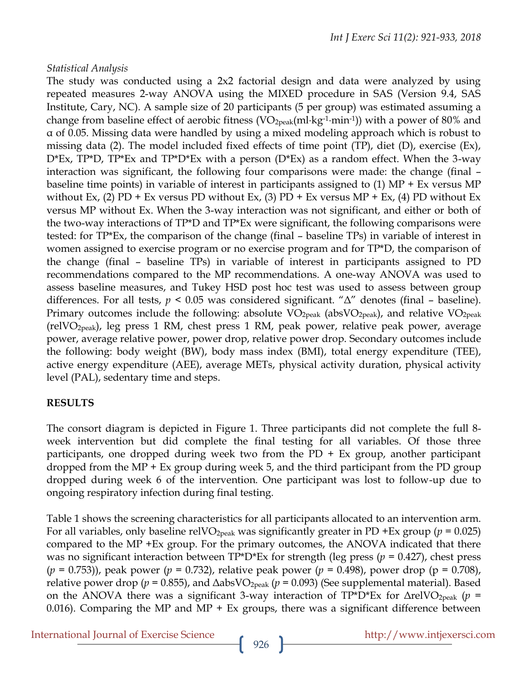## *Statistical Analysis*

The study was conducted using a 2x2 factorial design and data were analyzed by using repeated measures 2-way ANOVA using the MIXED procedure in SAS (Version 9.4, SAS Institute, Cary, NC). A sample size of 20 participants (5 per group) was estimated assuming a change from baseline effect of aerobic fitness (VO<sub>2peak</sub>(ml·kg<sup>-1</sup>·min<sup>-1</sup>)) with a power of 80% and α of 0.05. Missing data were handled by using a mixed modeling approach which is robust to missing data (2). The model included fixed effects of time point (TP), diet (D), exercise (Ex),  $D*Ex$ ,  $TP*D$ ,  $TP*Ex$  and  $TP*D*Ex$  with a person  $(D*Ex)$  as a random effect. When the 3-way interaction was significant, the following four comparisons were made: the change (final – baseline time points) in variable of interest in participants assigned to (1) MP + Ex versus MP without Ex, (2) PD + Ex versus PD without Ex, (3) PD + Ex versus MP + Ex, (4) PD without Ex versus MP without Ex. When the 3-way interaction was not significant, and either or both of the two-way interactions of TP\*D and TP\*Ex were significant, the following comparisons were tested: for TP\*Ex, the comparison of the change (final – baseline TPs) in variable of interest in women assigned to exercise program or no exercise program and for TP\*D, the comparison of the change (final – baseline TPs) in variable of interest in participants assigned to PD recommendations compared to the MP recommendations. A one-way ANOVA was used to assess baseline measures, and Tukey HSD post hoc test was used to assess between group differences. For all tests, *p* < 0.05 was considered significant. "Δ" denotes (final – baseline). Primary outcomes include the following: absolute  $VO<sub>2peak</sub>$  (abs $VO<sub>2peak</sub>$ ), and relative  $VO<sub>2peak</sub>$ (relVO<sub>2peak</sub>), leg press 1 RM, chest press 1 RM, peak power, relative peak power, average power, average relative power, power drop, relative power drop. Secondary outcomes include the following: body weight (BW), body mass index (BMI), total energy expenditure (TEE), active energy expenditure (AEE), average METs, physical activity duration, physical activity level (PAL), sedentary time and steps.

## **RESULTS**

The consort diagram is depicted in Figure 1. Three participants did not complete the full 8 week intervention but did complete the final testing for all variables. Of those three participants, one dropped during week two from the PD + Ex group, another participant dropped from the MP + Ex group during week 5, and the third participant from the PD group dropped during week 6 of the intervention. One participant was lost to follow-up due to ongoing respiratory infection during final testing.

Table 1 shows the screening characteristics for all participants allocated to an intervention arm. For all variables, only baseline relVO<sub>2peak</sub> was significantly greater in PD +Ex group ( $p = 0.025$ ) compared to the MP +Ex group. For the primary outcomes, the ANOVA indicated that there was no significant interaction between TP\*D\*Ex for strength (leg press (*p* = 0.427), chest press (*p* = 0.753)), peak power (*p* = 0.732), relative peak power (*p* = 0.498), power drop (p = 0.708), relative power drop ( $p = 0.855$ ), and  $\Delta absVO_{2peak}$  ( $p = 0.093$ ) (See supplemental material). Based on the ANOVA there was a significant 3-way interaction of  $TP*D*Ex$  for  $\triangle$ relVO<sub>2peak</sub> (*p* = 0.016). Comparing the MP and MP + Ex groups, there was a significant difference between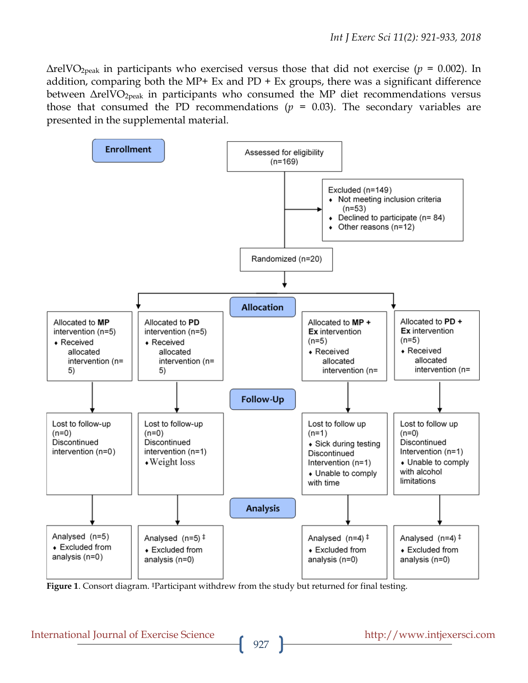ΔrelVO2peak in participants who exercised versus those that did not exercise (*p* = 0.002). In addition, comparing both the MP+ Ex and PD + Ex groups, there was a significant difference between  $\Delta$ relVO<sub>2peak</sub> in participants who consumed the MP diet recommendations versus those that consumed the PD recommendations  $(p = 0.03)$ . The secondary variables are presented in the supplemental material.



**Figure 1**. Consort diagram. ‡Participant withdrew from the study but returned for final testing.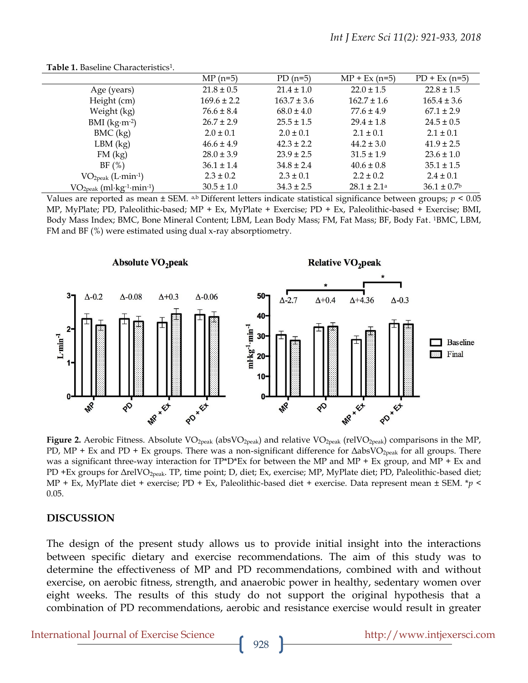|                              | $MP(n=5)$       | $PD(n=5)$       | $MP + Ex (n=5)$  | $PD + Ex (n=5)$             |
|------------------------------|-----------------|-----------------|------------------|-----------------------------|
|                              |                 |                 |                  |                             |
| Age (years)                  | $21.8 \pm 0.5$  | $21.4 \pm 1.0$  | $22.0 \pm 1.5$   | $22.8 \pm 1.5$              |
| Height (cm)                  | $169.6 \pm 2.2$ | $163.7 \pm 3.6$ | $162.7 \pm 1.6$  | $165.4 \pm 3.6$             |
| Weight (kg)                  | $76.6 \pm 8.4$  | $68.0 \pm 4.0$  | $77.6 \pm 4.9$   | $67.1 \pm 2.9$              |
| BMI $(kg·m-2)$               | $26.7 \pm 2.9$  | $25.5 \pm 1.5$  | $29.4 \pm 1.8$   | $24.5 \pm 0.5$              |
| BMC (kg)                     | $2.0 \pm 0.1$   | $2.0 \pm 0.1$   | $2.1 \pm 0.1$    | $2.1 \pm 0.1$               |
| $LBM$ (kg)                   | $46.6 \pm 4.9$  | $42.3 \pm 2.2$  | $44.2 \pm 3.0$   | $41.9 \pm 2.5$              |
| FM (kg)                      | $28.0 \pm 3.9$  | $23.9 \pm 2.5$  | $31.5 \pm 1.9$   | $23.6 \pm 1.0$              |
| BF(%)                        | $36.1 \pm 1.4$  | $34.8 \pm 2.4$  | $40.6 \pm 0.8$   | $35.1 \pm 1.5$              |
| $VO2peak (L·min-1)$          | $2.3 \pm 0.2$   | $2.3 \pm 0.1$   | $2.2 \pm 0.2$    | $2.4 \pm 0.1$               |
| $VO2peak$ (ml $kg-1·min-1$ ) | $30.5 \pm 1.0$  | $34.3 \pm 2.5$  | $28.1 \pm 2.1^a$ | $36.1 \pm 0.7$ <sup>b</sup> |

Table 1. Baseline Characteristics<sup>1</sup>.

Values are reported as mean ± SEM. a,b Different letters indicate statistical significance between groups; *p* < 0.05 MP, MyPlate; PD, Paleolithic-based; MP + Ex, MyPlate + Exercise; PD + Ex, Paleolithic-based + Exercise; BMI, Body Mass Index; BMC, Bone Mineral Content; LBM, Lean Body Mass; FM, Fat Mass; BF, Body Fat. <sup>1</sup>BMC, LBM, FM and BF (%) were estimated using dual x-ray absorptiometry.



**Figure 2.** Aerobic Fitness. Absolute VO<sub>2peak</sub> (absVO<sub>2peak</sub>) and relative VO<sub>2peak</sub> (relVO<sub>2peak</sub>) comparisons in the MP, PD, MP + Ex and PD + Ex groups. There was a non-significant difference for  $\Delta absVO_{2peak}$  for all groups. There was a significant three-way interaction for  $TP^*D^*Ex$  for between the MP and MP + Ex group, and MP + Ex and PD +Ex groups for ΔrelVO2peak. TP, time point; D, diet; Ex, exercise; MP, MyPlate diet; PD, Paleolithic-based diet; MP + Ex, MyPlate diet + exercise; PD + Ex, Paleolithic-based diet + exercise. Data represent mean ± SEM. \**p* < 0.05.

#### **DISCUSSION**

The design of the present study allows us to provide initial insight into the interactions between specific dietary and exercise recommendations. The aim of this study was to determine the effectiveness of MP and PD recommendations, combined with and without exercise, on aerobic fitness, strength, and anaerobic power in healthy, sedentary women over eight weeks. The results of this study do not support the original hypothesis that a combination of PD recommendations, aerobic and resistance exercise would result in greater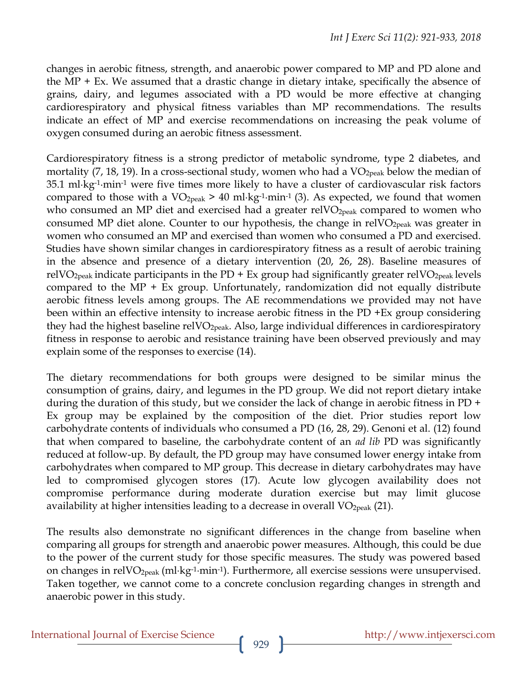changes in aerobic fitness, strength, and anaerobic power compared to MP and PD alone and the  $MP + Ex$ . We assumed that a drastic change in dietary intake, specifically the absence of grains, dairy, and legumes associated with a PD would be more effective at changing cardiorespiratory and physical fitness variables than MP recommendations. The results indicate an effect of MP and exercise recommendations on increasing the peak volume of oxygen consumed during an aerobic fitness assessment.

Cardiorespiratory fitness is a strong predictor of metabolic syndrome, type 2 diabetes, and mortality (7, 18, 19). In a cross-sectional study, women who had a  $VO<sub>2peak</sub>$  below the median of 35.1 ml∙kg-1 ∙min-1 were five times more likely to have a cluster of cardiovascular risk factors compared to those with a VO<sub>2peak</sub> > 40 ml⋅kg<sup>-1</sup>⋅min<sup>-1</sup> (3). As expected, we found that women who consumed an MP diet and exercised had a greater  $relVO<sub>2peak</sub>$  compared to women who consumed MP diet alone. Counter to our hypothesis, the change in relVO<sub>2peak</sub> was greater in women who consumed an MP and exercised than women who consumed a PD and exercised. Studies have shown similar changes in cardiorespiratory fitness as a result of aerobic training in the absence and presence of a dietary intervention (20, 26, 28). Baseline measures of relVO<sub>2peak</sub> indicate participants in the PD + Ex group had significantly greater relVO<sub>2peak</sub> levels compared to the MP  $+$  Ex group. Unfortunately, randomization did not equally distribute aerobic fitness levels among groups. The AE recommendations we provided may not have been within an effective intensity to increase aerobic fitness in the PD +Ex group considering they had the highest baseline relVO<sub>2peak</sub>. Also, large individual differences in cardiorespiratory fitness in response to aerobic and resistance training have been observed previously and may explain some of the responses to exercise (14).

The dietary recommendations for both groups were designed to be similar minus the consumption of grains, dairy, and legumes in the PD group. We did not report dietary intake during the duration of this study, but we consider the lack of change in aerobic fitness in PD + Ex group may be explained by the composition of the diet. Prior studies report low carbohydrate contents of individuals who consumed a PD (16, 28, 29). Genoni et al. (12) found that when compared to baseline, the carbohydrate content of an *ad lib* PD was significantly reduced at follow-up. By default, the PD group may have consumed lower energy intake from carbohydrates when compared to MP group. This decrease in dietary carbohydrates may have led to compromised glycogen stores (17). Acute low glycogen availability does not compromise performance during moderate duration exercise but may limit glucose availability at higher intensities leading to a decrease in overall  $VO<sub>2peak</sub>$  (21).

The results also demonstrate no significant differences in the change from baseline when comparing all groups for strength and anaerobic power measures. Although, this could be due to the power of the current study for those specific measures. The study was powered based on changes in relVO<sub>2peak</sub> (ml·kg<sup>-1</sup>·min<sup>-1</sup>). Furthermore, all exercise sessions were unsupervised. Taken together, we cannot come to a concrete conclusion regarding changes in strength and anaerobic power in this study.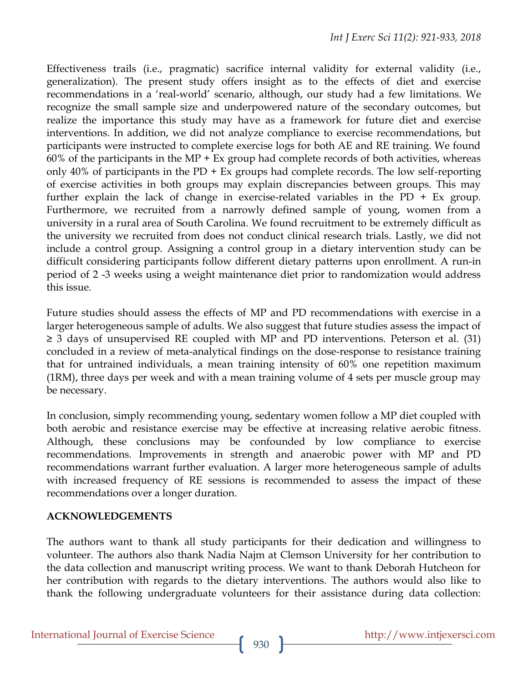Effectiveness trails (i.e., pragmatic) sacrifice internal validity for external validity (i.e., generalization). The present study offers insight as to the effects of diet and exercise recommendations in a 'real-world' scenario, although, our study had a few limitations. We recognize the small sample size and underpowered nature of the secondary outcomes, but realize the importance this study may have as a framework for future diet and exercise interventions. In addition, we did not analyze compliance to exercise recommendations, but participants were instructed to complete exercise logs for both AE and RE training. We found 60% of the participants in the MP  $+$  Ex group had complete records of both activities, whereas only 40% of participants in the  $PD + Ex$  groups had complete records. The low self-reporting of exercise activities in both groups may explain discrepancies between groups. This may further explain the lack of change in exercise-related variables in the PD + Ex group. Furthermore, we recruited from a narrowly defined sample of young, women from a university in a rural area of South Carolina. We found recruitment to be extremely difficult as the university we recruited from does not conduct clinical research trials. Lastly, we did not include a control group. Assigning a control group in a dietary intervention study can be difficult considering participants follow different dietary patterns upon enrollment. A run-in period of 2 -3 weeks using a weight maintenance diet prior to randomization would address this issue.

Future studies should assess the effects of MP and PD recommendations with exercise in a larger heterogeneous sample of adults. We also suggest that future studies assess the impact of  $\geq$  3 days of unsupervised RE coupled with MP and PD interventions. Peterson et al. (31) concluded in a review of meta-analytical findings on the dose-response to resistance training that for untrained individuals, a mean training intensity of 60% one repetition maximum (1RM), three days per week and with a mean training volume of 4 sets per muscle group may be necessary.

In conclusion, simply recommending young, sedentary women follow a MP diet coupled with both aerobic and resistance exercise may be effective at increasing relative aerobic fitness. Although, these conclusions may be confounded by low compliance to exercise recommendations. Improvements in strength and anaerobic power with MP and PD recommendations warrant further evaluation. A larger more heterogeneous sample of adults with increased frequency of RE sessions is recommended to assess the impact of these recommendations over a longer duration.

## **ACKNOWLEDGEMENTS**

The authors want to thank all study participants for their dedication and willingness to volunteer. The authors also thank Nadia Najm at Clemson University for her contribution to the data collection and manuscript writing process. We want to thank Deborah Hutcheon for her contribution with regards to the dietary interventions. The authors would also like to thank the following undergraduate volunteers for their assistance during data collection: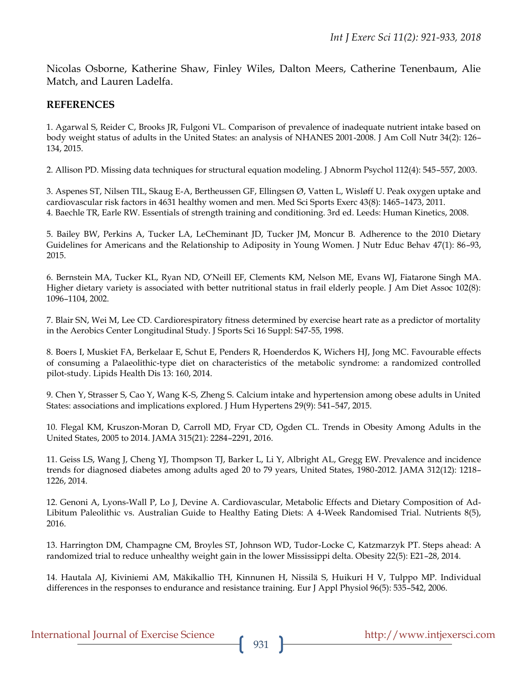Nicolas Osborne, Katherine Shaw, Finley Wiles, Dalton Meers, Catherine Tenenbaum, Alie Match, and Lauren Ladelfa.

#### **REFERENCES**

1. Agarwal S, Reider C, Brooks JR, Fulgoni VL. Comparison of prevalence of inadequate nutrient intake based on body weight status of adults in the United States: an analysis of NHANES 2001-2008. J Am Coll Nutr 34(2): 126– 134, 2015.

2. Allison PD. Missing data techniques for structural equation modeling. J Abnorm Psychol 112(4): 545–557, 2003.

3. Aspenes ST, Nilsen TIL, Skaug E-A, Bertheussen GF, Ellingsen Ø, Vatten L, Wisløff U. Peak oxygen uptake and cardiovascular risk factors in 4631 healthy women and men. Med Sci Sports Exerc 43(8): 1465–1473, 2011. 4. Baechle TR, Earle RW. Essentials of strength training and conditioning. 3rd ed. Leeds: Human Kinetics, 2008.

5. Bailey BW, Perkins A, Tucker LA, LeCheminant JD, Tucker JM, Moncur B. Adherence to the 2010 Dietary Guidelines for Americans and the Relationship to Adiposity in Young Women. J Nutr Educ Behav 47(1): 86–93, 2015.

6. Bernstein MA, Tucker KL, Ryan ND, O'Neill EF, Clements KM, Nelson ME, Evans WJ, Fiatarone Singh MA. Higher dietary variety is associated with better nutritional status in frail elderly people. J Am Diet Assoc 102(8): 1096–1104, 2002.

7. Blair SN, Wei M, Lee CD. Cardiorespiratory fitness determined by exercise heart rate as a predictor of mortality in the Aerobics Center Longitudinal Study. J Sports Sci 16 Suppl: S47-55, 1998.

8. Boers I, Muskiet FA, Berkelaar E, Schut E, Penders R, Hoenderdos K, Wichers HJ, Jong MC. Favourable effects of consuming a Palaeolithic-type diet on characteristics of the metabolic syndrome: a randomized controlled pilot-study. Lipids Health Dis 13: 160, 2014.

9. Chen Y, Strasser S, Cao Y, Wang K-S, Zheng S. Calcium intake and hypertension among obese adults in United States: associations and implications explored. J Hum Hypertens 29(9): 541–547, 2015.

10. Flegal KM, Kruszon-Moran D, Carroll MD, Fryar CD, Ogden CL. Trends in Obesity Among Adults in the United States, 2005 to 2014. JAMA 315(21): 2284–2291, 2016.

11. Geiss LS, Wang J, Cheng YJ, Thompson TJ, Barker L, Li Y, Albright AL, Gregg EW. Prevalence and incidence trends for diagnosed diabetes among adults aged 20 to 79 years, United States, 1980-2012. JAMA 312(12): 1218– 1226, 2014.

12. Genoni A, Lyons-Wall P, Lo J, Devine A. Cardiovascular, Metabolic Effects and Dietary Composition of Ad-Libitum Paleolithic vs. Australian Guide to Healthy Eating Diets: A 4-Week Randomised Trial. Nutrients 8(5), 2016.

13. Harrington DM, Champagne CM, Broyles ST, Johnson WD, Tudor-Locke C, Katzmarzyk PT. Steps ahead: A randomized trial to reduce unhealthy weight gain in the lower Mississippi delta. Obesity 22(5): E21–28, 2014.

14. Hautala AJ, Kiviniemi AM, Mäkikallio TH, Kinnunen H, Nissilä S, Huikuri H V, Tulppo MP. Individual differences in the responses to endurance and resistance training. Eur J Appl Physiol 96(5): 535–542, 2006.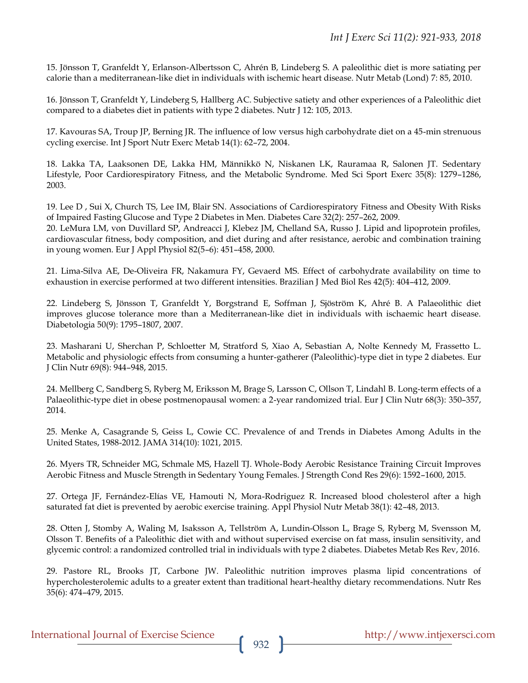15. Jönsson T, Granfeldt Y, Erlanson-Albertsson C, Ahrén B, Lindeberg S. A paleolithic diet is more satiating per calorie than a mediterranean-like diet in individuals with ischemic heart disease. Nutr Metab (Lond) 7: 85, 2010.

16. Jönsson T, Granfeldt Y, Lindeberg S, Hallberg AC. Subjective satiety and other experiences of a Paleolithic diet compared to a diabetes diet in patients with type 2 diabetes. Nutr J 12: 105, 2013.

17. Kavouras SA, Troup JP, Berning JR. The influence of low versus high carbohydrate diet on a 45-min strenuous cycling exercise. Int J Sport Nutr Exerc Metab 14(1): 62–72, 2004.

18. Lakka TA, Laaksonen DE, Lakka HM, Männikkö N, Niskanen LK, Rauramaa R, Salonen JT. Sedentary Lifestyle, Poor Cardiorespiratory Fitness, and the Metabolic Syndrome. Med Sci Sport Exerc 35(8): 1279–1286, 2003.

19. Lee D , Sui X, Church TS, Lee IM, Blair SN. Associations of Cardiorespiratory Fitness and Obesity With Risks of Impaired Fasting Glucose and Type 2 Diabetes in Men. Diabetes Care 32(2): 257–262, 2009. 20. LeMura LM, von Duvillard SP, Andreacci J, Klebez JM, Chelland SA, Russo J. Lipid and lipoprotein profiles,

cardiovascular fitness, body composition, and diet during and after resistance, aerobic and combination training in young women. Eur J Appl Physiol 82(5–6): 451–458, 2000.

21. Lima-Silva AE, De-Oliveira FR, Nakamura FY, Gevaerd MS. Effect of carbohydrate availability on time to exhaustion in exercise performed at two different intensities. Brazilian J Med Biol Res 42(5): 404–412, 2009.

22. Lindeberg S, Jönsson T, Granfeldt Y, Borgstrand E, Soffman J, Sjöström K, Ahré B. A Palaeolithic diet improves glucose tolerance more than a Mediterranean-like diet in individuals with ischaemic heart disease. Diabetologia 50(9): 1795–1807, 2007.

23. Masharani U, Sherchan P, Schloetter M, Stratford S, Xiao A, Sebastian A, Nolte Kennedy M, Frassetto L. Metabolic and physiologic effects from consuming a hunter-gatherer (Paleolithic)-type diet in type 2 diabetes. Eur J Clin Nutr 69(8): 944–948, 2015.

24. Mellberg C, Sandberg S, Ryberg M, Eriksson M, Brage S, Larsson C, Ollson T, Lindahl B. Long-term effects of a Palaeolithic-type diet in obese postmenopausal women: a 2-year randomized trial. Eur J Clin Nutr 68(3): 350–357, 2014.

25. Menke A, Casagrande S, Geiss L, Cowie CC. Prevalence of and Trends in Diabetes Among Adults in the United States, 1988-2012. JAMA 314(10): 1021, 2015.

26. Myers TR, Schneider MG, Schmale MS, Hazell TJ. Whole-Body Aerobic Resistance Training Circuit Improves Aerobic Fitness and Muscle Strength in Sedentary Young Females. J Strength Cond Res 29(6): 1592–1600, 2015.

27. Ortega JF, Fernández-Elías VE, Hamouti N, Mora-Rodriguez R. Increased blood cholesterol after a high saturated fat diet is prevented by aerobic exercise training. Appl Physiol Nutr Metab 38(1): 42–48, 2013.

28. Otten J, Stomby A, Waling M, Isaksson A, Tellström A, Lundin-Olsson L, Brage S, Ryberg M, Svensson M, Olsson T. Benefits of a Paleolithic diet with and without supervised exercise on fat mass, insulin sensitivity, and glycemic control: a randomized controlled trial in individuals with type 2 diabetes. Diabetes Metab Res Rev, 2016.

29. Pastore RL, Brooks JT, Carbone JW. Paleolithic nutrition improves plasma lipid concentrations of hypercholesterolemic adults to a greater extent than traditional heart-healthy dietary recommendations. Nutr Res 35(6): 474–479, 2015.